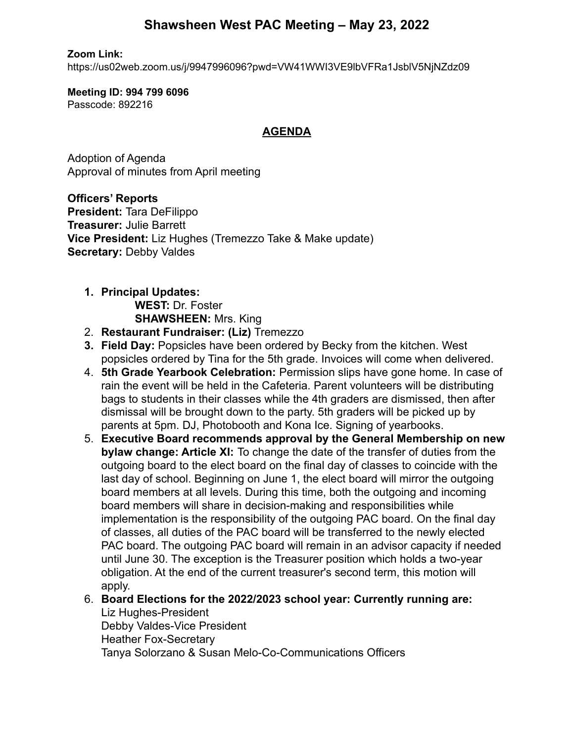# **Shawsheen West PAC Meeting – May 23, 2022**

**Zoom Link:**

https://us02web.zoom.us/j/9947996096?pwd=VW41WWI3VE9lbVFRa1JsblV5NjNZdz09

**Meeting ID: 994 799 6096** Passcode: 892216

#### **AGENDA**

Adoption of Agenda Approval of minutes from April meeting

**Officers' Reports President:** Tara DeFilippo **Treasurer:** Julie Barrett **Vice President:** Liz Hughes (Tremezzo Take & Make update) **Secretary:** Debby Valdes

# **1. Principal Updates: WEST:** Dr. Foster

**SHAWSHEEN:** Mrs. King

- 2. **Restaurant Fundraiser: (Liz)** Tremezzo
- **3. Field Day:** Popsicles have been ordered by Becky from the kitchen. West popsicles ordered by Tina for the 5th grade. Invoices will come when delivered.
- 4. **5th Grade Yearbook Celebration:** Permission slips have gone home. In case of rain the event will be held in the Cafeteria. Parent volunteers will be distributing bags to students in their classes while the 4th graders are dismissed, then after dismissal will be brought down to the party. 5th graders will be picked up by parents at 5pm. DJ, Photobooth and Kona Ice. Signing of yearbooks.
- 5. **Executive Board recommends approval by the General Membership on new bylaw change: Article XI:** To change the date of the transfer of duties from the outgoing board to the elect board on the final day of classes to coincide with the last day of school. Beginning on June 1, the elect board will mirror the outgoing board members at all levels. During this time, both the outgoing and incoming board members will share in decision-making and responsibilities while implementation is the responsibility of the outgoing PAC board. On the final day of classes, all duties of the PAC board will be transferred to the newly elected PAC board. The outgoing PAC board will remain in an advisor capacity if needed until June 30. The exception is the Treasurer position which holds a two-year obligation. At the end of the current treasurer's second term, this motion will apply.
- 6. **Board Elections for the 2022/2023 school year: Currently running are:** Liz Hughes-President Debby Valdes-Vice President Heather Fox-Secretary Tanya Solorzano & Susan Melo-Co-Communications Officers